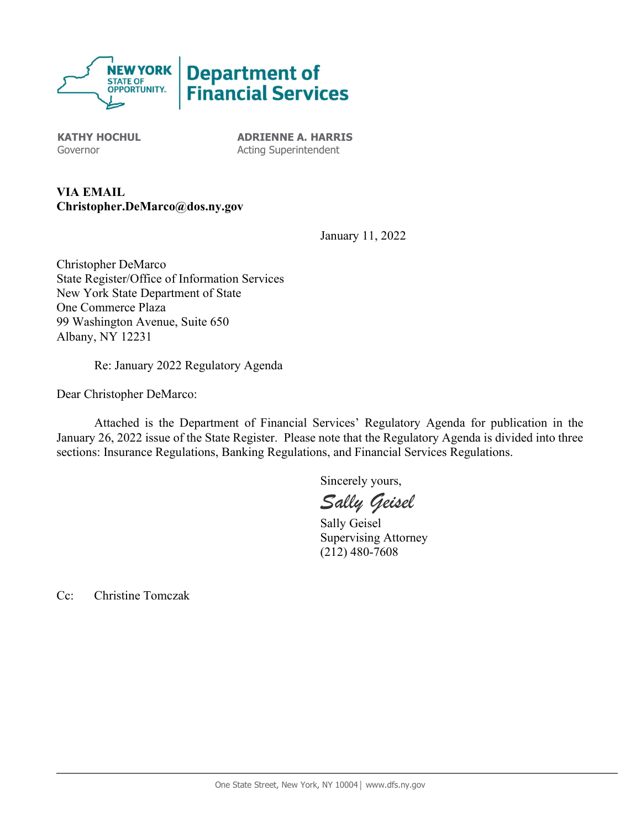

KATHY HOCHUL Governor

ADRIENNE A. HARRIS Acting Superintendent

VIA EMAIL Christopher.DeMarco@dos.ny.gov

January 11, 2022

Christopher DeMarco State Register/Office of Information Services New York State Department of State One Commerce Plaza 99 Washington Avenue, Suite 650 Albany, NY 12231

Re: January 2022 Regulatory Agenda

Dear Christopher DeMarco:

 Attached is the Department of Financial Services' Regulatory Agenda for publication in the January 26, 2022 issue of the State Register. Please note that the Regulatory Agenda is divided into three sections: Insurance Regulations, Banking Regulations, and Financial Services Regulations.

Sincerely yours,

Sally Geisel

 Sally Geisel Supervising Attorney (212) 480-7608

Cc: Christine Tomczak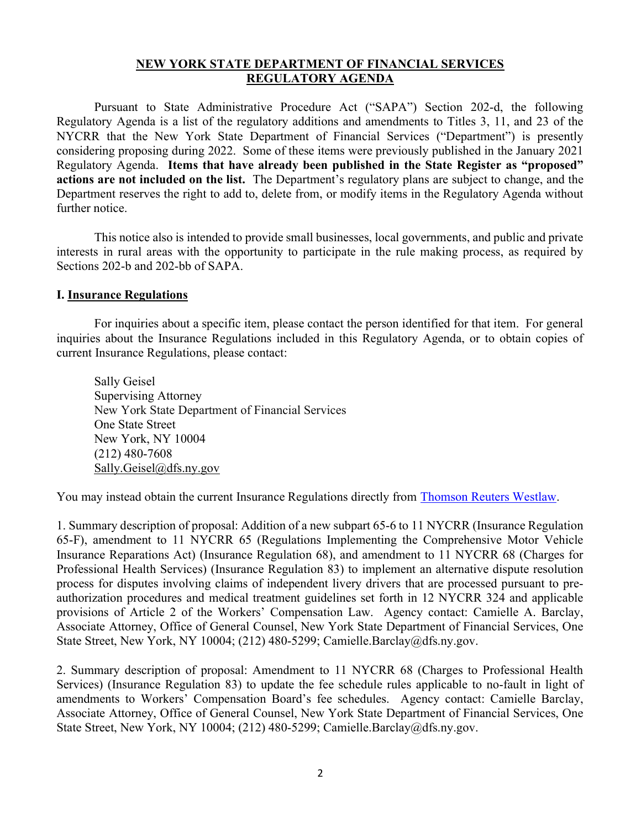## NEW YORK STATE DEPARTMENT OF FINANCIAL SERVICES REGULATORY AGENDA

 Pursuant to State Administrative Procedure Act ("SAPA") Section 202-d, the following Regulatory Agenda is a list of the regulatory additions and amendments to Titles 3, 11, and 23 of the NYCRR that the New York State Department of Financial Services ("Department") is presently considering proposing during 2022. Some of these items were previously published in the January 2021 Regulatory Agenda. Items that have already been published in the State Register as "proposed" actions are not included on the list. The Department's regulatory plans are subject to change, and the Department reserves the right to add to, delete from, or modify items in the Regulatory Agenda without further notice.

 This notice also is intended to provide small businesses, local governments, and public and private interests in rural areas with the opportunity to participate in the rule making process, as required by Sections 202-b and 202-bb of SAPA.

## I. Insurance Regulations

 For inquiries about a specific item, please contact the person identified for that item. For general inquiries about the Insurance Regulations included in this Regulatory Agenda, or to obtain copies of current Insurance Regulations, please contact:

 Sally Geisel Supervising Attorney New York State Department of Financial Services One State Street New York, NY 10004 (212) 480-7608 Sally.Geisel@dfs.ny.gov

You may instead obtain the current Insurance Regulations directly from Thomson Reuters Westlaw.

1. Summary description of proposal: Addition of a new subpart 65-6 to 11 NYCRR (Insurance Regulation 65-F), amendment to 11 NYCRR 65 (Regulations Implementing the Comprehensive Motor Vehicle Insurance Reparations Act) (Insurance Regulation 68), and amendment to 11 NYCRR 68 (Charges for Professional Health Services) (Insurance Regulation 83) to implement an alternative dispute resolution process for disputes involving claims of independent livery drivers that are processed pursuant to preauthorization procedures and medical treatment guidelines set forth in 12 NYCRR 324 and applicable provisions of Article 2 of the Workers' Compensation Law. Agency contact: Camielle A. Barclay, Associate Attorney, Office of General Counsel, New York State Department of Financial Services, One State Street, New York, NY 10004; (212) 480-5299; Camielle.Barclay@dfs.ny.gov.

2. Summary description of proposal: Amendment to 11 NYCRR 68 (Charges to Professional Health Services) (Insurance Regulation 83) to update the fee schedule rules applicable to no-fault in light of amendments to Workers' Compensation Board's fee schedules. Agency contact: Camielle Barclay, Associate Attorney, Office of General Counsel, New York State Department of Financial Services, One State Street, New York, NY 10004; (212) 480-5299; Camielle.Barclay@dfs.ny.gov.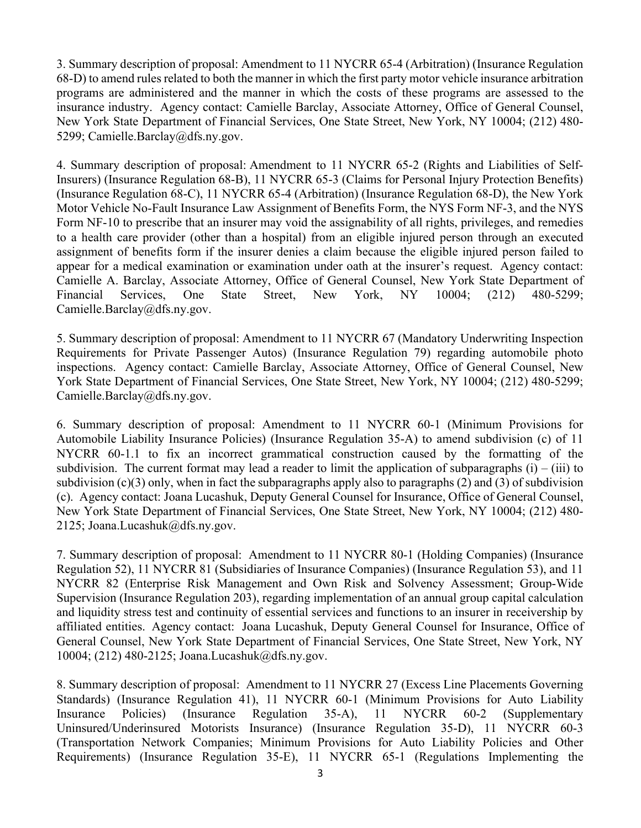3. Summary description of proposal: Amendment to 11 NYCRR 65-4 (Arbitration) (Insurance Regulation 68-D) to amend rules related to both the manner in which the first party motor vehicle insurance arbitration programs are administered and the manner in which the costs of these programs are assessed to the insurance industry. Agency contact: Camielle Barclay, Associate Attorney, Office of General Counsel, New York State Department of Financial Services, One State Street, New York, NY 10004; (212) 480- 5299; Camielle.Barclay@dfs.ny.gov.

4. Summary description of proposal: Amendment to 11 NYCRR 65-2 (Rights and Liabilities of Self-Insurers) (Insurance Regulation 68-B), 11 NYCRR 65-3 (Claims for Personal Injury Protection Benefits) (Insurance Regulation 68-C), 11 NYCRR 65-4 (Arbitration) (Insurance Regulation 68-D), the New York Motor Vehicle No-Fault Insurance Law Assignment of Benefits Form, the NYS Form NF-3, and the NYS Form NF-10 to prescribe that an insurer may void the assignability of all rights, privileges, and remedies to a health care provider (other than a hospital) from an eligible injured person through an executed assignment of benefits form if the insurer denies a claim because the eligible injured person failed to appear for a medical examination or examination under oath at the insurer's request. Agency contact: Camielle A. Barclay, Associate Attorney, Office of General Counsel, New York State Department of Financial Services, One State Street, New York, NY 10004; (212) 480-5299; Camielle.Barclay@dfs.ny.gov.

5. Summary description of proposal: Amendment to 11 NYCRR 67 (Mandatory Underwriting Inspection Requirements for Private Passenger Autos) (Insurance Regulation 79) regarding automobile photo inspections. Agency contact: Camielle Barclay, Associate Attorney, Office of General Counsel, New York State Department of Financial Services, One State Street, New York, NY 10004; (212) 480-5299; Camielle.Barclay@dfs.ny.gov.

6. Summary description of proposal: Amendment to 11 NYCRR 60-1 (Minimum Provisions for Automobile Liability Insurance Policies) (Insurance Regulation 35-A) to amend subdivision (c) of 11 NYCRR 60-1.1 to fix an incorrect grammatical construction caused by the formatting of the subdivision. The current format may lead a reader to limit the application of subparagraphs  $(i) - (iii)$  to subdivision (c)(3) only, when in fact the subparagraphs apply also to paragraphs (2) and (3) of subdivision (c). Agency contact: Joana Lucashuk, Deputy General Counsel for Insurance, Office of General Counsel, New York State Department of Financial Services, One State Street, New York, NY 10004; (212) 480- 2125; Joana.Lucashuk@dfs.ny.gov.

7. Summary description of proposal: Amendment to 11 NYCRR 80-1 (Holding Companies) (Insurance Regulation 52), 11 NYCRR 81 (Subsidiaries of Insurance Companies) (Insurance Regulation 53), and 11 NYCRR 82 (Enterprise Risk Management and Own Risk and Solvency Assessment; Group-Wide Supervision (Insurance Regulation 203), regarding implementation of an annual group capital calculation and liquidity stress test and continuity of essential services and functions to an insurer in receivership by affiliated entities. Agency contact: Joana Lucashuk, Deputy General Counsel for Insurance, Office of General Counsel, New York State Department of Financial Services, One State Street, New York, NY 10004; (212) 480-2125; Joana.Lucashuk@dfs.ny.gov.

8. Summary description of proposal: Amendment to 11 NYCRR 27 (Excess Line Placements Governing Standards) (Insurance Regulation 41), 11 NYCRR 60-1 (Minimum Provisions for Auto Liability Insurance Policies) (Insurance Regulation 35-A), 11 NYCRR 60-2 (Supplementary Uninsured/Underinsured Motorists Insurance) (Insurance Regulation 35-D), 11 NYCRR 60-3 (Transportation Network Companies; Minimum Provisions for Auto Liability Policies and Other Requirements) (Insurance Regulation 35-E), 11 NYCRR 65-1 (Regulations Implementing the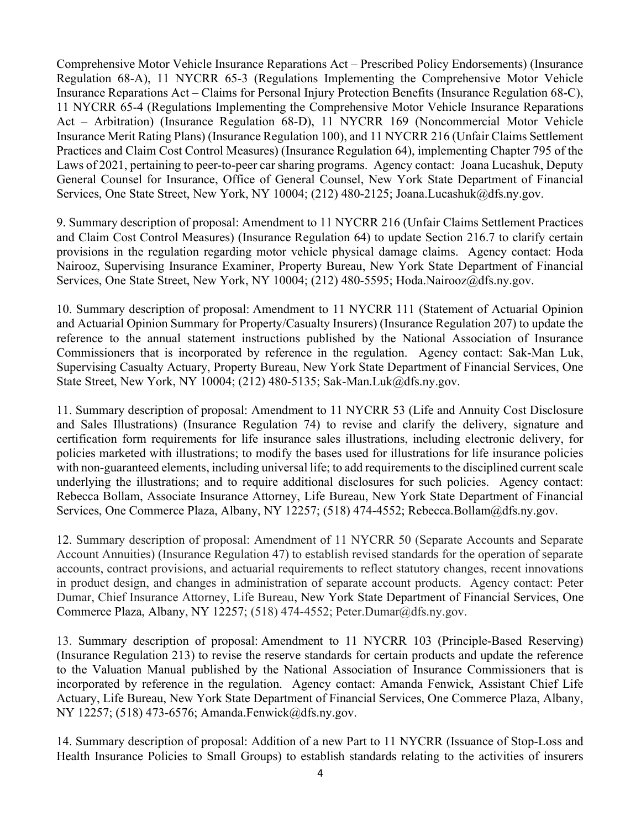Comprehensive Motor Vehicle Insurance Reparations Act – Prescribed Policy Endorsements) (Insurance Regulation 68-A), 11 NYCRR 65-3 (Regulations Implementing the Comprehensive Motor Vehicle Insurance Reparations Act – Claims for Personal Injury Protection Benefits (Insurance Regulation 68-C), 11 NYCRR 65-4 (Regulations Implementing the Comprehensive Motor Vehicle Insurance Reparations Act – Arbitration) (Insurance Regulation 68-D), 11 NYCRR 169 (Noncommercial Motor Vehicle Insurance Merit Rating Plans) (Insurance Regulation 100), and 11 NYCRR 216 (Unfair Claims Settlement Practices and Claim Cost Control Measures) (Insurance Regulation 64), implementing Chapter 795 of the Laws of 2021, pertaining to peer-to-peer car sharing programs. Agency contact: Joana Lucashuk, Deputy General Counsel for Insurance, Office of General Counsel, New York State Department of Financial Services, One State Street, New York, NY 10004; (212) 480-2125; Joana.Lucashuk@dfs.ny.gov.

9. Summary description of proposal: Amendment to 11 NYCRR 216 (Unfair Claims Settlement Practices and Claim Cost Control Measures) (Insurance Regulation 64) to update Section 216.7 to clarify certain provisions in the regulation regarding motor vehicle physical damage claims. Agency contact: Hoda Nairooz, Supervising Insurance Examiner, Property Bureau, New York State Department of Financial Services, One State Street, New York, NY 10004; (212) 480-5595; Hoda.Nairooz@dfs.ny.gov.

10. Summary description of proposal: Amendment to 11 NYCRR 111 (Statement of Actuarial Opinion and Actuarial Opinion Summary for Property/Casualty Insurers) (Insurance Regulation 207) to update the reference to the annual statement instructions published by the National Association of Insurance Commissioners that is incorporated by reference in the regulation. Agency contact: Sak-Man Luk, Supervising Casualty Actuary, Property Bureau, New York State Department of Financial Services, One State Street, New York, NY 10004; (212) 480-5135; Sak-Man.Luk@dfs.ny.gov.

11. Summary description of proposal: Amendment to 11 NYCRR 53 (Life and Annuity Cost Disclosure and Sales Illustrations) (Insurance Regulation 74) to revise and clarify the delivery, signature and certification form requirements for life insurance sales illustrations, including electronic delivery, for policies marketed with illustrations; to modify the bases used for illustrations for life insurance policies with non-guaranteed elements, including universal life; to add requirements to the disciplined current scale underlying the illustrations; and to require additional disclosures for such policies. Agency contact: Rebecca Bollam, Associate Insurance Attorney, Life Bureau, New York State Department of Financial Services, One Commerce Plaza, Albany, NY 12257; (518) 474-4552; Rebecca.Bollam@dfs.ny.gov.

12. Summary description of proposal: Amendment of 11 NYCRR 50 (Separate Accounts and Separate Account Annuities) (Insurance Regulation 47) to establish revised standards for the operation of separate accounts, contract provisions, and actuarial requirements to reflect statutory changes, recent innovations in product design, and changes in administration of separate account products. Agency contact: Peter Dumar, Chief Insurance Attorney, Life Bureau, New York State Department of Financial Services, One Commerce Plaza, Albany, NY 12257; (518) 474-4552; Peter.Dumar@dfs.ny.gov.

13. Summary description of proposal: Amendment to 11 NYCRR 103 (Principle-Based Reserving) (Insurance Regulation 213) to revise the reserve standards for certain products and update the reference to the Valuation Manual published by the National Association of Insurance Commissioners that is incorporated by reference in the regulation. Agency contact: Amanda Fenwick, Assistant Chief Life Actuary, Life Bureau, New York State Department of Financial Services, One Commerce Plaza, Albany, NY 12257; (518) 473-6576; Amanda.Fenwick@dfs.ny.gov.

14. Summary description of proposal: Addition of a new Part to 11 NYCRR (Issuance of Stop-Loss and Health Insurance Policies to Small Groups) to establish standards relating to the activities of insurers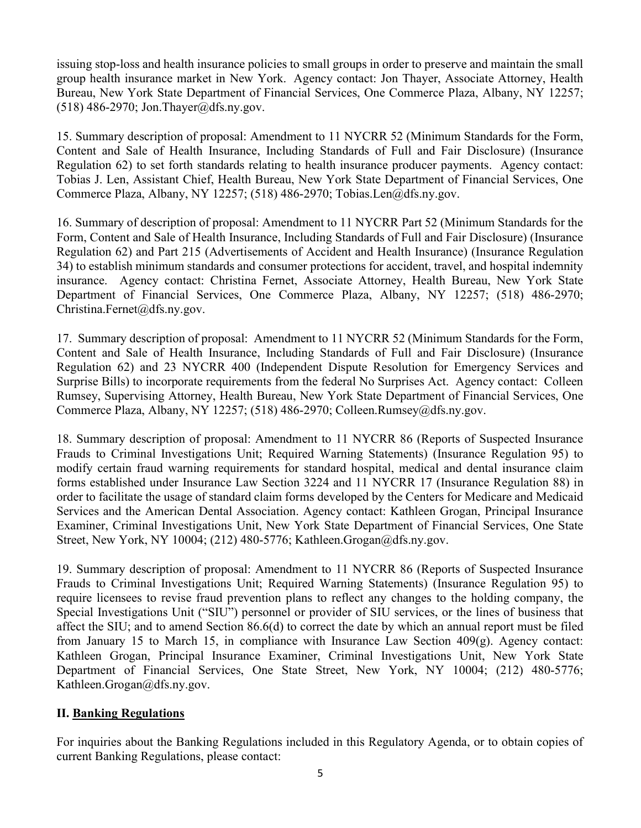issuing stop-loss and health insurance policies to small groups in order to preserve and maintain the small group health insurance market in New York. Agency contact: Jon Thayer, Associate Attorney, Health Bureau, New York State Department of Financial Services, One Commerce Plaza, Albany, NY 12257;  $(518)$  486-2970; Jon. Thayer@dfs.ny.gov.

15. Summary description of proposal: Amendment to 11 NYCRR 52 (Minimum Standards for the Form, Content and Sale of Health Insurance, Including Standards of Full and Fair Disclosure) (Insurance Regulation 62) to set forth standards relating to health insurance producer payments. Agency contact: Tobias J. Len, Assistant Chief, Health Bureau, New York State Department of Financial Services, One Commerce Plaza, Albany, NY 12257; (518) 486-2970; Tobias.Len@dfs.ny.gov.

16. Summary of description of proposal: Amendment to 11 NYCRR Part 52 (Minimum Standards for the Form, Content and Sale of Health Insurance, Including Standards of Full and Fair Disclosure) (Insurance Regulation 62) and Part 215 (Advertisements of Accident and Health Insurance) (Insurance Regulation 34) to establish minimum standards and consumer protections for accident, travel, and hospital indemnity insurance. Agency contact: Christina Fernet, Associate Attorney, Health Bureau, New York State Department of Financial Services, One Commerce Plaza, Albany, NY 12257; (518) 486-2970; Christina.Fernet@dfs.ny.gov.

17. Summary description of proposal: Amendment to 11 NYCRR 52 (Minimum Standards for the Form, Content and Sale of Health Insurance, Including Standards of Full and Fair Disclosure) (Insurance Regulation 62) and 23 NYCRR 400 (Independent Dispute Resolution for Emergency Services and Surprise Bills) to incorporate requirements from the federal No Surprises Act. Agency contact: Colleen Rumsey, Supervising Attorney, Health Bureau, New York State Department of Financial Services, One Commerce Plaza, Albany, NY 12257; (518) 486-2970; Colleen.Rumsey@dfs.ny.gov.

18. Summary description of proposal: Amendment to 11 NYCRR 86 (Reports of Suspected Insurance Frauds to Criminal Investigations Unit; Required Warning Statements) (Insurance Regulation 95) to modify certain fraud warning requirements for standard hospital, medical and dental insurance claim forms established under Insurance Law Section 3224 and 11 NYCRR 17 (Insurance Regulation 88) in order to facilitate the usage of standard claim forms developed by the Centers for Medicare and Medicaid Services and the American Dental Association. Agency contact: Kathleen Grogan, Principal Insurance Examiner, Criminal Investigations Unit, New York State Department of Financial Services, One State Street, New York, NY 10004; (212) 480-5776; Kathleen.Grogan@dfs.ny.gov.

19. Summary description of proposal: Amendment to 11 NYCRR 86 (Reports of Suspected Insurance Frauds to Criminal Investigations Unit; Required Warning Statements) (Insurance Regulation 95) to require licensees to revise fraud prevention plans to reflect any changes to the holding company, the Special Investigations Unit ("SIU") personnel or provider of SIU services, or the lines of business that affect the SIU; and to amend Section 86.6(d) to correct the date by which an annual report must be filed from January 15 to March 15, in compliance with Insurance Law Section  $409(g)$ . Agency contact: Kathleen Grogan, Principal Insurance Examiner, Criminal Investigations Unit, New York State Department of Financial Services, One State Street, New York, NY 10004; (212) 480-5776; Kathleen.Grogan@dfs.ny.gov.

## II. Banking Regulations

For inquiries about the Banking Regulations included in this Regulatory Agenda, or to obtain copies of current Banking Regulations, please contact: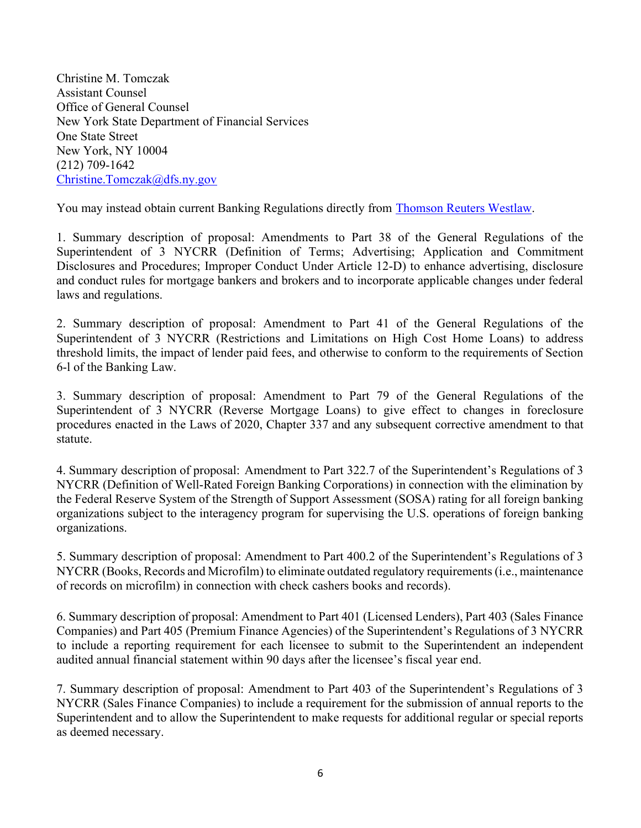Christine M. Tomczak Assistant Counsel Office of General Counsel New York State Department of Financial Services One State Street New York, NY 10004 (212) 709-1642 Christine.Tomczak@dfs.ny.gov

You may instead obtain current Banking Regulations directly from Thomson Reuters Westlaw.

1. Summary description of proposal: Amendments to Part 38 of the General Regulations of the Superintendent of 3 NYCRR (Definition of Terms; Advertising; Application and Commitment Disclosures and Procedures; Improper Conduct Under Article 12-D) to enhance advertising, disclosure and conduct rules for mortgage bankers and brokers and to incorporate applicable changes under federal laws and regulations.

2. Summary description of proposal: Amendment to Part 41 of the General Regulations of the Superintendent of 3 NYCRR (Restrictions and Limitations on High Cost Home Loans) to address threshold limits, the impact of lender paid fees, and otherwise to conform to the requirements of Section 6-l of the Banking Law.

3. Summary description of proposal: Amendment to Part 79 of the General Regulations of the Superintendent of 3 NYCRR (Reverse Mortgage Loans) to give effect to changes in foreclosure procedures enacted in the Laws of 2020, Chapter 337 and any subsequent corrective amendment to that statute.

4. Summary description of proposal: Amendment to Part 322.7 of the Superintendent's Regulations of 3 NYCRR (Definition of Well-Rated Foreign Banking Corporations) in connection with the elimination by the Federal Reserve System of the Strength of Support Assessment (SOSA) rating for all foreign banking organizations subject to the interagency program for supervising the U.S. operations of foreign banking organizations.

5. Summary description of proposal: Amendment to Part 400.2 of the Superintendent's Regulations of 3 NYCRR (Books, Records and Microfilm) to eliminate outdated regulatory requirements (i.e., maintenance of records on microfilm) in connection with check cashers books and records).

6. Summary description of proposal: Amendment to Part 401 (Licensed Lenders), Part 403 (Sales Finance Companies) and Part 405 (Premium Finance Agencies) of the Superintendent's Regulations of 3 NYCRR to include a reporting requirement for each licensee to submit to the Superintendent an independent audited annual financial statement within 90 days after the licensee's fiscal year end.

7. Summary description of proposal: Amendment to Part 403 of the Superintendent's Regulations of 3 NYCRR (Sales Finance Companies) to include a requirement for the submission of annual reports to the Superintendent and to allow the Superintendent to make requests for additional regular or special reports as deemed necessary.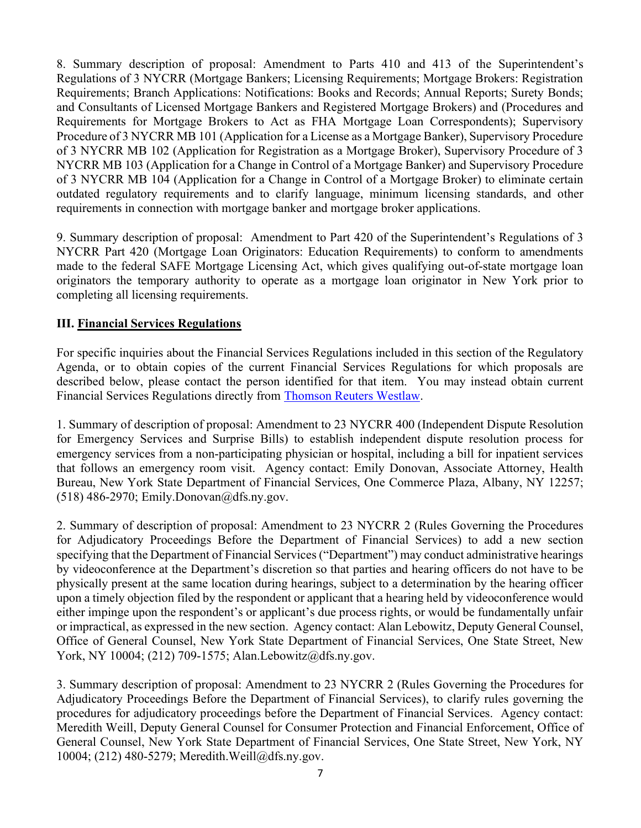8. Summary description of proposal: Amendment to Parts 410 and 413 of the Superintendent's Regulations of 3 NYCRR (Mortgage Bankers; Licensing Requirements; Mortgage Brokers: Registration Requirements; Branch Applications: Notifications: Books and Records; Annual Reports; Surety Bonds; and Consultants of Licensed Mortgage Bankers and Registered Mortgage Brokers) and (Procedures and Requirements for Mortgage Brokers to Act as FHA Mortgage Loan Correspondents); Supervisory Procedure of 3 NYCRR MB 101 (Application for a License as a Mortgage Banker), Supervisory Procedure of 3 NYCRR MB 102 (Application for Registration as a Mortgage Broker), Supervisory Procedure of 3 NYCRR MB 103 (Application for a Change in Control of a Mortgage Banker) and Supervisory Procedure of 3 NYCRR MB 104 (Application for a Change in Control of a Mortgage Broker) to eliminate certain outdated regulatory requirements and to clarify language, minimum licensing standards, and other requirements in connection with mortgage banker and mortgage broker applications.

9. Summary description of proposal: Amendment to Part 420 of the Superintendent's Regulations of 3 NYCRR Part 420 (Mortgage Loan Originators: Education Requirements) to conform to amendments made to the federal SAFE Mortgage Licensing Act, which gives qualifying out-of-state mortgage loan originators the temporary authority to operate as a mortgage loan originator in New York prior to completing all licensing requirements.

## III. Financial Services Regulations

For specific inquiries about the Financial Services Regulations included in this section of the Regulatory Agenda, or to obtain copies of the current Financial Services Regulations for which proposals are described below, please contact the person identified for that item. You may instead obtain current Financial Services Regulations directly from Thomson Reuters Westlaw.

1. Summary of description of proposal: Amendment to 23 NYCRR 400 (Independent Dispute Resolution for Emergency Services and Surprise Bills) to establish independent dispute resolution process for emergency services from a non-participating physician or hospital, including a bill for inpatient services that follows an emergency room visit. Agency contact: Emily Donovan, Associate Attorney, Health Bureau, New York State Department of Financial Services, One Commerce Plaza, Albany, NY 12257; (518) 486-2970; Emily.Donovan@dfs.ny.gov.

2. Summary of description of proposal: Amendment to 23 NYCRR 2 (Rules Governing the Procedures for Adjudicatory Proceedings Before the Department of Financial Services) to add a new section specifying that the Department of Financial Services ("Department") may conduct administrative hearings by videoconference at the Department's discretion so that parties and hearing officers do not have to be physically present at the same location during hearings, subject to a determination by the hearing officer upon a timely objection filed by the respondent or applicant that a hearing held by videoconference would either impinge upon the respondent's or applicant's due process rights, or would be fundamentally unfair or impractical, as expressed in the new section. Agency contact: Alan Lebowitz, Deputy General Counsel, Office of General Counsel, New York State Department of Financial Services, One State Street, New York, NY 10004; (212) 709-1575; Alan.Lebowitz@dfs.ny.gov.

3. Summary description of proposal: Amendment to 23 NYCRR 2 (Rules Governing the Procedures for Adjudicatory Proceedings Before the Department of Financial Services), to clarify rules governing the procedures for adjudicatory proceedings before the Department of Financial Services. Agency contact: Meredith Weill, Deputy General Counsel for Consumer Protection and Financial Enforcement, Office of General Counsel, New York State Department of Financial Services, One State Street, New York, NY 10004; (212) 480-5279; Meredith.Weill@dfs.ny.gov.